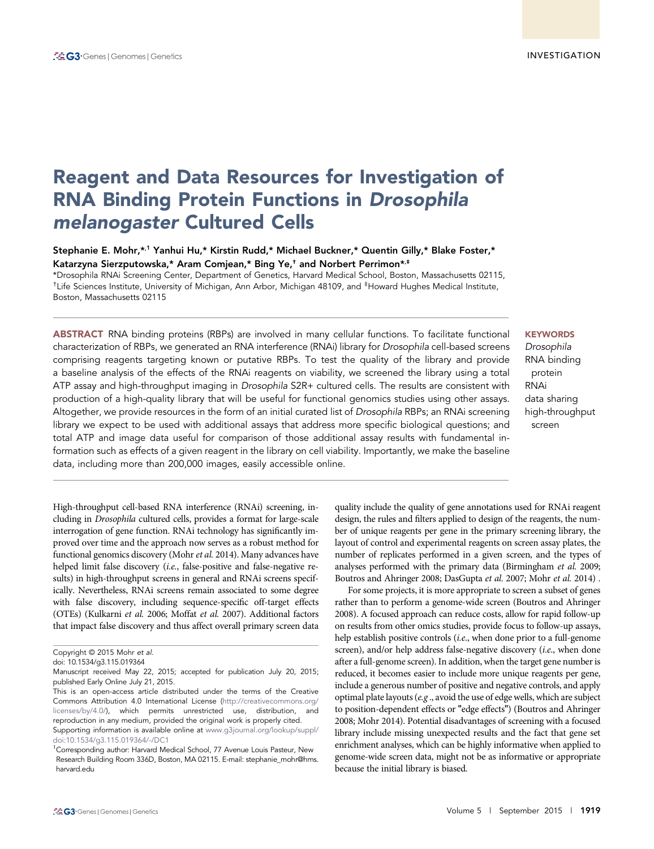# Reagent and Data Resources for Investigation of RNA Binding Protein Functions in Drosophila melanogaster Cultured Cells

Stephanie E. Mohr,\*<sup>,1</sup> Yanhui Hu,\* Kirstin Rudd,\* Michael Buckner,\* Quentin Gilly,\* Blake Foster,\* Katarzyna Sierzputowska,\* Aram Comjean,\* Bing Ye,† and Norbert Perrimon\*,‡

\*Drosophila RNAi Screening Center, Department of Genetics, Harvard Medical School, Boston, Massachusetts 02115, †Life Sciences Institute, University of Michigan, Ann Arbor, Michigan 48109, and ‡Howard Hughes Medical Institute, Boston, Massachusetts 02115

ABSTRACT RNA binding proteins (RBPs) are involved in many cellular functions. To facilitate functional characterization of RBPs, we generated an RNA interference (RNAi) library for Drosophila cell-based screens comprising reagents targeting known or putative RBPs. To test the quality of the library and provide a baseline analysis of the effects of the RNAi reagents on viability, we screened the library using a total ATP assay and high-throughput imaging in Drosophila S2R+ cultured cells. The results are consistent with production of a high-quality library that will be useful for functional genomics studies using other assays. Altogether, we provide resources in the form of an initial curated list of Drosophila RBPs; an RNAi screening library we expect to be used with additional assays that address more specific biological questions; and total ATP and image data useful for comparison of those additional assay results with fundamental information such as effects of a given reagent in the library on cell viability. Importantly, we make the baseline data, including more than 200,000 images, easily accessible online.

Drosophila RNA binding protein

**KEYWORDS** 

RNAi data sharing high-throughput screen

High-throughput cell-based RNA interference (RNAi) screening, including in Drosophila cultured cells, provides a format for large-scale interrogation of gene function. RNAi technology has significantly improved over time and the approach now serves as a robust method for functional genomics discovery (Mohr et al. 2014). Many advances have helped limit false discovery (i.e., false-positive and false-negative results) in high-throughput screens in general and RNAi screens specifically. Nevertheless, RNAi screens remain associated to some degree with false discovery, including sequence-specific off-target effects (OTEs) (Kulkarni et al. 2006; Moffat et al. 2007). Additional factors that impact false discovery and thus affect overall primary screen data

quality include the quality of gene annotations used for RNAi reagent design, the rules and filters applied to design of the reagents, the number of unique reagents per gene in the primary screening library, the layout of control and experimental reagents on screen assay plates, the number of replicates performed in a given screen, and the types of analyses performed with the primary data (Birmingham et al. 2009; Boutros and Ahringer 2008; DasGupta et al. 2007; Mohr et al. 2014) .

For some projects, it is more appropriate to screen a subset of genes rather than to perform a genome-wide screen (Boutros and Ahringer 2008). A focused approach can reduce costs, allow for rapid follow-up on results from other omics studies, provide focus to follow-up assays, help establish positive controls (*i.e.*, when done prior to a full-genome screen), and/or help address false-negative discovery (*i.e.*, when done after a full-genome screen). In addition, when the target gene number is reduced, it becomes easier to include more unique reagents per gene, include a generous number of positive and negative controls, and apply optimal plate layouts ( $e.g.,$  avoid the use of edge wells, which are subject to position-dependent effects or "edge effects") (Boutros and Ahringer 2008; Mohr 2014). Potential disadvantages of screening with a focused library include missing unexpected results and the fact that gene set enrichment analyses, which can be highly informative when applied to genome-wide screen data, might not be as informative or appropriate because the initial library is biased.

Copyright © 2015 Mohr et al.

doi: 10.1534/g3.115.019364

Manuscript received May 22, 2015; accepted for publication July 20, 2015; published Early Online July 21, 2015.

This is an open-access article distributed under the terms of the Creative Commons Attribution 4.0 International License [\(http://creativecommons.org/](http://creativecommons.org/licenses/by/4.0/) [licenses/by/4.0/\)](http://creativecommons.org/licenses/by/4.0/), which permits unrestricted use, distribution, and reproduction in any medium, provided the original work is properly cited.

Supporting information is available online at [www.g3journal.org/lookup/suppl/](http://www.g3journal.org/lookup/suppl/doi:10.1534/g3.115.019364/-/DC1) [doi:10.1534/g3.115.019364/-/DC1](http://www.g3journal.org/lookup/suppl/doi:10.1534/g3.115.019364/-/DC1)

<sup>&</sup>lt;sup>1</sup>Corresponding author: Harvard Medical School, 77 Avenue Louis Pasteur, New Research Building Room 336D, Boston, MA 02115. E-mail: [stephanie\\_mohr@hms.](mailto:stephanie_mohr@hms.harvard.edu) [harvard.edu](mailto:stephanie_mohr@hms.harvard.edu)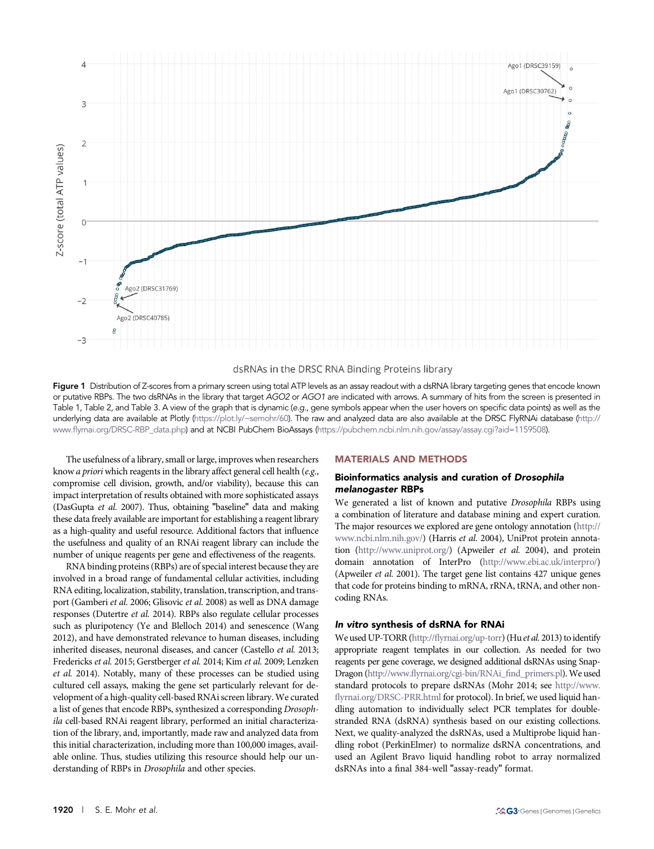

#### dsRNAs in the DRSC RNA Binding Proteins library

Figure 1 Distribution of Z-scores from a primary screen using total ATP levels as an assay readout with a dsRNA library targeting genes that encode known or putative RBPs. The two dsRNAs in the library that target AGO2 or AGO1 are indicated with arrows. A summary of hits from the screen is presented in Table 1, Table 2, and Table 3. A view of the graph that is dynamic (e.g., gene symbols appear when the user hovers on specific data points) as well as the underlying data are available at Plotly [\(https://plot.ly/~semohr/60](https://plot.ly/~semohr/60)). The raw and analyzed data are also available at the DRSC FlyRNAi database [\(http://](http://www.flyrnai.org/DRSC-RBP_data.php) www.fl[yrnai.org/DRSC-RBP\\_data.php](http://www.flyrnai.org/DRSC-RBP_data.php)) and at NCBI PubChem BioAssays ([https://pubchem.ncbi.nlm.nih.gov/assay/assay.cgi?aid=1159508\)](https://pubchem.ncbi.nlm.nih.gov/assay/assay.cgi?aid=1159508).

The usefulness of a library, small or large, improves when researchers know a priori which reagents in the library affect general cell health (e.g., compromise cell division, growth, and/or viability), because this can impact interpretation of results obtained with more sophisticated assays (DasGupta et al. 2007). Thus, obtaining "baseline" data and making these data freely available are important for establishing a reagent library as a high-quality and useful resource. Additional factors that influence the usefulness and quality of an RNAi reagent library can include the number of unique reagents per gene and effectiveness of the reagents.

RNA binding proteins (RBPs) are of special interest because they are involved in a broad range of fundamental cellular activities, including RNA editing, localization, stability, translation, transcription, and transport (Gamberi et al. 2006; Glisovic et al. 2008) as well as DNA damage responses (Dutertre et al. 2014). RBPs also regulate cellular processes such as pluripotency (Ye and Blelloch 2014) and senescence (Wang 2012), and have demonstrated relevance to human diseases, including inherited diseases, neuronal diseases, and cancer (Castello et al. 2013; Fredericks et al. 2015; Gerstberger et al. 2014; Kim et al. 2009; Lenzken et al. 2014). Notably, many of these processes can be studied using cultured cell assays, making the gene set particularly relevant for development of a high-quality cell-based RNAi screen library. We curated a list of genes that encode RBPs, synthesized a corresponding Drosophila cell-based RNAi reagent library, performed an initial characterization of the library, and, importantly, made raw and analyzed data from this initial characterization, including more than 100,000 images, available online. Thus, studies utilizing this resource should help our understanding of RBPs in Drosophila and other species.

### MATERIALS AND METHODS

#### Bioinformatics analysis and curation of Drosophila melanogaster RBPs

We generated a list of known and putative Drosophila RBPs using a combination of literature and database mining and expert curation. The major resources we explored are gene ontology annotation [\(http://](http://www.ncbi.nlm.nih.gov/) [www.ncbi.nlm.nih.gov/\)](http://www.ncbi.nlm.nih.gov/) (Harris et al. 2004), UniProt protein annotation (<http://www.uniprot.org/>) (Apweiler et al. 2004), and protein domain annotation of InterPro [\(http://www.ebi.ac.uk/interpro/\)](http://www.ebi.ac.uk/interpro/) (Apweiler et al. 2001). The target gene list contains 427 unique genes that code for proteins binding to mRNA, rRNA, tRNA, and other noncoding RNAs.

#### In vitro synthesis of dsRNA for RNAi

We used UP-TORR (http://fl[yrnai.org/up-torr\)](http://flyrnai.org/up-torr) (Hu et al. 2013) to identify appropriate reagent templates in our collection. As needed for two reagents per gene coverage, we designed additional dsRNAs using Snap-Dragon (http://www.fl[yrnai.org/cgi-bin/RNAi\\_](http://www.flyrnai.org/cgi-bin/RNAi_find_primers.pl)find\_primers.pl).We used standard protocols to prepare dsRNAs (Mohr 2014; see [http://www.](http://www.flyrnai.org/DRSC-PRR.html) fl[yrnai.org/DRSC-PRR.html](http://www.flyrnai.org/DRSC-PRR.html) for protocol). In brief, we used liquid handling automation to individually select PCR templates for doublestranded RNA (dsRNA) synthesis based on our existing collections. Next, we quality-analyzed the dsRNAs, used a Multiprobe liquid handling robot (PerkinElmer) to normalize dsRNA concentrations, and used an Agilent Bravo liquid handling robot to array normalized dsRNAs into a final 384-well "assay-ready" format.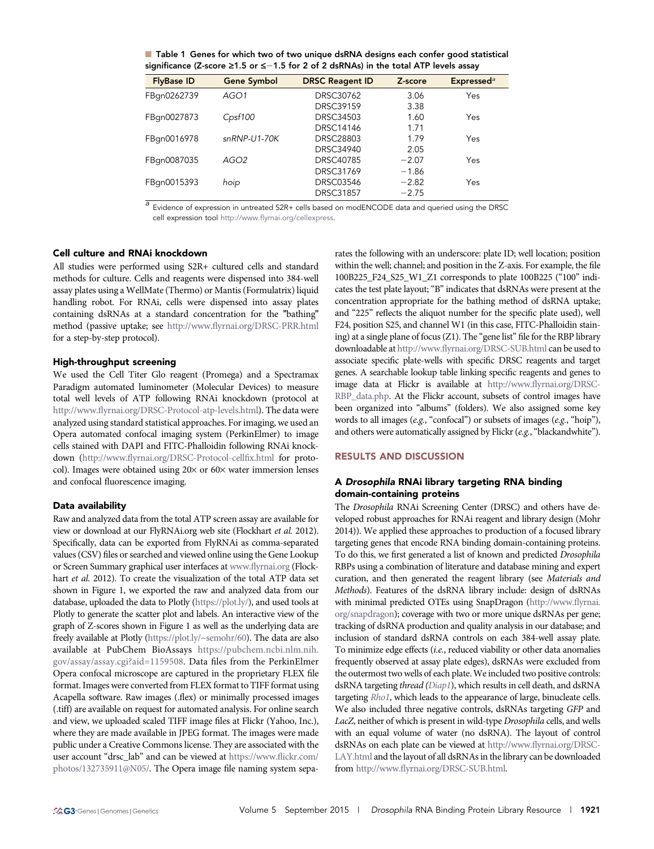| Table 1 Genes for which two of two unique dsRNA designs each confer good statistical             |
|--------------------------------------------------------------------------------------------------|
| significance (Z-score $\geq 1.5$ or $\leq -1.5$ for 2 of 2 dsRNAs) in the total ATP levels assay |

| <b>FlyBase ID</b> | <b>Gene Symbol</b> | <b>DRSC Reagent ID</b> | Z-score | <b>Expressed</b> <sup>a</sup> |
|-------------------|--------------------|------------------------|---------|-------------------------------|
| FBqn0262739       | AGO1               | DRSC30762              | 3.06    | Yes                           |
|                   |                    | <b>DRSC39159</b>       | 3.38    |                               |
| FBqn0027873       | Cpsf100            | DRSC34503              | 1.60    | Yes                           |
|                   |                    | <b>DRSC14146</b>       | 1.71    |                               |
| FBqn0016978       | snRNP-U1-70K       | <b>DRSC28803</b>       | 1.79    | Yes                           |
|                   |                    | DRSC34940              | 2.05    |                               |
| FBqn0087035       | AGO <sub>2</sub>   | DRSC40785              | $-2.07$ | Yes                           |
|                   |                    | <b>DRSC31769</b>       | $-1.86$ |                               |
| FBqn0015393       | hoip               | <b>DRSC03546</b>       | $-2.82$ | Yes                           |
|                   |                    | <b>DRSC31857</b>       | $-2.75$ |                               |

a Evidence of expression in untreated S2R+ cells based on modENCODE data and queried using the DRSC cell expression tool http://www.fl[yrnai.org/cellexpress](http://www.flyrnai.org/cellexpress).

### Cell culture and RNAi knockdown

All studies were performed using S2R+ cultured cells and standard methods for culture. Cells and reagents were dispensed into 384-well assay plates using a WellMate (Thermo) or Mantis (Formulatrix) liquid handling robot. For RNAi, cells were dispensed into assay plates containing dsRNAs at a standard concentration for the "bathing" method (passive uptake; see http://www.fl[yrnai.org/DRSC-PRR.html](http://www.flyrnai.org/DRSC-PRR.html) for a step-by-step protocol).

#### High-throughput screening

We used the Cell Titer Glo reagent (Promega) and a Spectramax Paradigm automated luminometer (Molecular Devices) to measure total well levels of ATP following RNAi knockdown (protocol at http://www.fl[yrnai.org/DRSC-Protocol-atp-levels.html](http://www.flyrnai.org/DRSC-Protocol-atp-levels.html)). The data were analyzed using standard statistical approaches. For imaging, we used an Opera automated confocal imaging system (PerkinElmer) to image cells stained with DAPI and FITC-Phalloidin following RNAi knockdown (http://www.fl[yrnai.org/DRSC-Protocol-cell](http://www.flyrnai.org/DRSC-Protocol-cellfix.html)fix.html for protocol). Images were obtained using  $20 \times$  or  $60 \times$  water immersion lenses and confocal fluorescence imaging.

## Data availability

Raw and analyzed data from the total ATP screen assay are available for view or download at our FlyRNAi.org web site (Flockhart et al. 2012). Specifically, data can be exported from FlyRNAi as comma-separated values (CSV) files or searched and viewed online using the Gene Lookup or Screen Summary graphical user interfaces at www.fl[yrnai.org](http://www.flyrnai.org) (Flockhart et al. 2012). To create the visualization of the total ATP data set shown in Figure 1, we exported the raw and analyzed data from our database, uploaded the data to Plotly [\(https://plot.ly/\)](https://plot.ly/), and used tools at Plotly to generate the scatter plot and labels. An interactive view of the graph of Z-scores shown in Figure 1 as well as the underlying data are freely available at Plotly [\(https://plot.ly/~semohr/60](https://plot.ly/~semohr/60)). The data are also available at PubChem BioAssays [https://pubchem.ncbi.nlm.nih.](https://pubchem.ncbi.nlm.nih.gov/assay/assay.cgi?aid=1159508) [gov/assay/assay.cgi?aid=1159508](https://pubchem.ncbi.nlm.nih.gov/assay/assay.cgi?aid=1159508). Data files from the PerkinElmer Opera confocal microscope are captured in the proprietary FLEX file format. Images were converted from FLEX format to TIFF format using Acapella software. Raw images (.flex) or minimally processed images (.tiff) are available on request for automated analysis. For online search and view, we uploaded scaled TIFF image files at Flickr (Yahoo, Inc.), where they are made available in JPEG format. The images were made public under a Creative Commons license. They are associated with the user account "drsc\_lab" and can be viewed at [https://www.](https://www.flickr.com/photos/132735911@N05/)flickr.com/ [photos/132735911@N05/.](https://www.flickr.com/photos/132735911@N05/) The Opera image file naming system separates the following with an underscore: plate ID; well location; position within the well; channel; and position in the Z-axis. For example, the file 100B225\_F24\_S25\_W1\_Z1 corresponds to plate 100B225 ("100" indicates the test plate layout; "B" indicates that dsRNAs were present at the concentration appropriate for the bathing method of dsRNA uptake; and "225" reflects the aliquot number for the specific plate used), well F24, position S25, and channel W1 (in this case, FITC-Phalloidin staining) at a single plane of focus (Z1). The "gene list" file for the RBP library downloadable at http://www.fl[yrnai.org/DRSC-SUB.html](http://www.flyrnai.org/DRSC-SUB.html) can be used to associate specific plate-wells with specific DRSC reagents and target genes. A searchable lookup table linking specific reagents and genes to image data at Flickr is available at http://www.fl[yrnai.org/DRSC-](http://www.flyrnai.org/DRSC-RBP_data.php)[RBP\\_data.php.](http://www.flyrnai.org/DRSC-RBP_data.php) At the Flickr account, subsets of control images have been organized into "albums" (folders). We also assigned some key words to all images (e.g., "confocal") or subsets of images (e.g., "hoip"), and others were automatically assigned by Flickr (e.g., "blackandwhite").

## RESULTS AND DISCUSSION

# <sup>A</sup> Drosophila RNAi library targeting RNA binding domain-containing proteins

The Drosophila RNAi Screening Center (DRSC) and others have developed robust approaches for RNAi reagent and library design (Mohr 2014)). We applied these approaches to production of a focused library targeting genes that encode RNA binding domain-containing proteins. To do this, we first generated a list of known and predicted Drosophila RBPs using a combination of literature and database mining and expert curation, and then generated the reagent library (see Materials and Methods). Features of the dsRNA library include: design of dsRNAs with minimal predicted OTEs using SnapDragon ([http://www.](http://www.flyrnai.org/snapdragon)flyrnai. [org/snapdragon\)](http://www.flyrnai.org/snapdragon); coverage with two or more unique dsRNAs per gene; tracking of dsRNA production and quality analysis in our database; and inclusion of standard dsRNA controls on each 384-well assay plate. To minimize edge effects (i.e., reduced viability or other data anomalies frequently observed at assay plate edges), dsRNAs were excluded from the outermost two wells of each plate.We included two positive controls: dsRNA targeting thread [\(Diap1](http://flybase.org/reports/FBgn0260635.html)), which results in cell death, and dsRNA targeting [Rho1](http://flybase.org/reports/FBgn0014020.html), which leads to the appearance of large, binucleate cells. We also included three negative controls, dsRNAs targeting GFP and LacZ, neither of which is present in wild-type Drosophila cells, and wells with an equal volume of water (no dsRNA). The layout of control dsRNAs on each plate can be viewed at http://www.fl[yrnai.org/DRSC-](http://www.flyrnai.org/DRSC-LAY.html)[LAY.html](http://www.flyrnai.org/DRSC-LAY.html) and the layout of all dsRNAs in the library can be downloaded from http://www.fl[yrnai.org/DRSC-SUB.html](http://www.flyrnai.org/DRSC-SUB.html).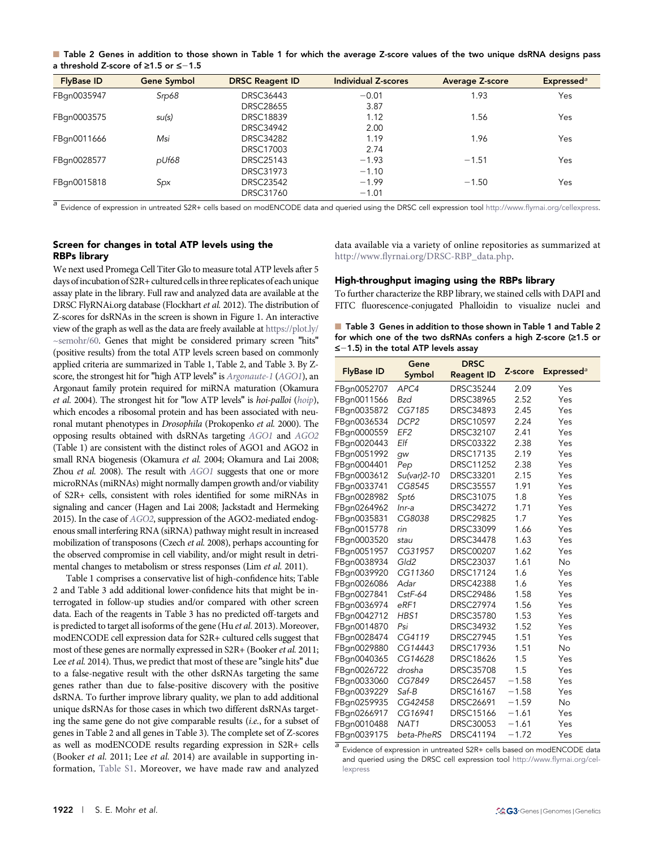■ Table 2 Genes in addition to those shown in Table 1 for which the average Z-score values of the two unique dsRNA designs pass a threshold Z-score of  $\geq 1.5$  or  $\leq -1.5$ 

| <b>FlyBase ID</b> | <b>Gene Symbol</b> | <b>DRSC Reagent ID</b> | <b>Individual Z-scores</b> | <b>Average Z-score</b> | Expressed <sup>a</sup> |
|-------------------|--------------------|------------------------|----------------------------|------------------------|------------------------|
| FBqn0035947       | Srp68              | <b>DRSC36443</b>       | $-0.01$                    | 1.93                   | Yes                    |
|                   |                    | <b>DRSC28655</b>       | 3.87                       |                        |                        |
| FBqn0003575       | su(s)              | <b>DRSC18839</b>       | 1.12                       | 1.56                   | Yes                    |
|                   |                    | <b>DRSC34942</b>       | 2.00                       |                        |                        |
| FBqn0011666       | Msi                | <b>DRSC34282</b>       | 1.19                       | 1.96                   | Yes                    |
|                   |                    | <b>DRSC17003</b>       | 2.74                       |                        |                        |
| FBqn0028577       | pUf68              | <b>DRSC25143</b>       | $-1.93$                    | $-1.51$                | Yes                    |
|                   |                    | <b>DRSC31973</b>       | $-1.10$                    |                        |                        |
| FBqn0015818       | Spx                | <b>DRSC23542</b>       | $-1.99$                    | $-1.50$                | Yes                    |
|                   |                    | <b>DRSC31760</b>       | $-1.01$                    |                        |                        |

a Evidence of expression in untreated S2R+ cells based on modENCODE data and queried using the DRSC cell expression tool http://www.fl[yrnai.org/cellexpress](http://www.flyrnai.org/cellexpress).

# Screen for changes in total ATP levels using the RBPs library

We next used Promega Cell Titer Glo to measure total ATP levels after 5 days of incubation of S2R+ cultured cells in three replicates of each unique assay plate in the library. Full raw and analyzed data are available at the DRSC FlyRNAi.org database (Flockhart et al. 2012). The distribution of Z-scores for dsRNAs in the screen is shown in Figure 1. An interactive view of the graph as well as the data are freely available at [https://plot.ly/](https://plot.ly/~semohr/60) [~semohr/60.](https://plot.ly/~semohr/60) Genes that might be considered primary screen "hits" (positive results) from the total ATP levels screen based on commonly applied criteria are summarized in Table 1, Table 2, and Table 3. By Zscore, the strongest hit for "high ATP levels" is [Argonaute-1](http://flybase.org/reports/FBgn0262739.html) ([AGO1](http://flybase.org/reports/FBgn0262739.html)), an Argonaut family protein required for miRNA maturation (Okamura et al. 2004). The strongest hit for "low ATP levels" is hoi-palloi ([hoip](http://flybase.org/reports/FBgn0015393.html)), which encodes a ribosomal protein and has been associated with neuronal mutant phenotypes in Drosophila (Prokopenko et al. 2000). The opposing results obtained with dsRNAs targeting [AGO1](http://flybase.org/reports/FBgn0262739.html) and [AGO2](http://flybase.org/reports/FBgn0087035.html) (Table 1) are consistent with the distinct roles of AGO1 and AGO2 in small RNA biogenesis (Okamura et al. 2004; Okamura and Lai 2008; Zhou et al. 2008). The result with [AGO1](http://flybase.org/reports/FBgn0262739.html) suggests that one or more microRNAs (miRNAs) might normally dampen growth and/or viability of S2R+ cells, consistent with roles identified for some miRNAs in signaling and cancer (Hagen and Lai 2008; Jackstadt and Hermeking 2015). In the case of [AGO2](http://flybase.org/reports/FBgn0087035.html), suppression of the AGO2-mediated endogenous small interfering RNA (siRNA) pathway might result in increased mobilization of transposons (Czech et al. 2008), perhaps accounting for the observed compromise in cell viability, and/or might result in detrimental changes to metabolism or stress responses (Lim et al. 2011).

Table 1 comprises a conservative list of high-confidence hits; Table 2 and Table 3 add additional lower-confidence hits that might be interrogated in follow-up studies and/or compared with other screen data. Each of the reagents in Table 3 has no predicted off-targets and is predicted to target all isoforms of the gene (Hu et al. 2013). Moreover, modENCODE cell expression data for S2R+ cultured cells suggest that most of these genes are normally expressed in S2R+ (Booker et al. 2011; Lee *et al.* 2014). Thus, we predict that most of these are "single hits" due to a false-negative result with the other dsRNAs targeting the same genes rather than due to false-positive discovery with the positive dsRNA. To further improve library quality, we plan to add additional unique dsRNAs for those cases in which two different dsRNAs targeting the same gene do not give comparable results (i.e., for a subset of genes in Table 2 and all genes in Table 3). The complete set of Z-scores as well as modENCODE results regarding expression in S2R+ cells (Booker et al. 2011; Lee et al. 2014) are available in supporting information, [Table S1.](http://www.g3journal.org/content/suppl/2015/07/21/g3.115.019364.DC1/TableS1.xlsx) Moreover, we have made raw and analyzed

data available via a variety of online repositories as summarized at http://www.fl[yrnai.org/DRSC-RBP\\_data.php](http://www.flyrnai.org/DRSC-RBP_data.php).

#### High-throughput imaging using the RBPs library

To further characterize the RBP library, we stained cells with DAPI and FITC fluorescence-conjugated Phalloidin to visualize nuclei and

|                                           |  |  | ■ Table 3 Genes in addition to those shown in Table 1 and Table 2      |  |  |  |
|-------------------------------------------|--|--|------------------------------------------------------------------------|--|--|--|
|                                           |  |  | for which one of the two dsRNAs confers a high Z-score ( $\geq 1.5$ or |  |  |  |
| $\le$ -1.5) in the total ATP levels assay |  |  |                                                                        |  |  |  |

| <b>FlyBase ID</b> | Gene<br>Symbol   | <b>DRSC</b><br><b>Reagent ID</b> | Z-score | <b>Expressed</b> <sup>a</sup> |
|-------------------|------------------|----------------------------------|---------|-------------------------------|
| FBqn0052707       | APC4             | <b>DRSC35244</b>                 | 2.09    | Yes                           |
| FBqn0011566       | <b>Bzd</b>       | <b>DRSC38965</b>                 | 2.52    | Yes                           |
| FBqn0035872       | CG7185           | <b>DRSC34893</b>                 | 2.45    | Yes                           |
| FBqn0036534       | DCP <sub>2</sub> | <b>DRSC10597</b>                 | 2.24    | Yes                           |
| FBqn0000559       | EF <sub>2</sub>  | <b>DRSC32107</b>                 | 2.41    | Yes                           |
| FBgn0020443       | Elf              | <b>DRSC03322</b>                 | 2.38    | Yes                           |
| FBqn0051992       | qw               | <b>DRSC17135</b>                 | 2.19    | Yes                           |
| FBgn0004401       | Pep              | <b>DRSC11252</b>                 | 2.38    | Yes                           |
| FBqn0003612       | Su(var)2-10      | <b>DRSC33201</b>                 | 2.15    | Yes                           |
| FBqn0033741       | CG8545           | <b>DRSC35557</b>                 | 1.91    | Yes                           |
| FBqn0028982       | Spt6             | <b>DRSC31075</b>                 | 1.8     | Yes                           |
| FBqn0264962       | $Inr-a$          | <b>DRSC34272</b>                 | 1.71    | Yes                           |
| FBqn0035831       | CG8038           | <b>DRSC29825</b>                 | 1.7     | Yes                           |
| FBqn0015778       | rin              | <b>DRSC33099</b>                 | 1.66    | Yes                           |
| FBqn0003520       | stau             | <b>DRSC34478</b>                 | 1.63    | Yes                           |
| FBqn0051957       | CG31957          | <b>DRSC00207</b>                 | 1.62    | Yes                           |
| FBqn0038934       | Gld2             | <b>DRSC23037</b>                 | 1.61    | <b>No</b>                     |
| FBqn0039920       | CG11360          | <b>DRSC17124</b>                 | 1.6     | Yes                           |
| FBqn0026086       | Adar             | <b>DRSC42388</b>                 | 1.6     | Yes                           |
| FBqn0027841       | CstF-64          | <b>DRSC29486</b>                 | 1.58    | Yes                           |
| FBqn0036974       | $e$ RF1          | <b>DRSC27974</b>                 | 1.56    | Yes                           |
| FBqn0042712       | HBS1             | <b>DRSC35780</b>                 | 1.53    | Yes                           |
| FBqn0014870       | Psi              | <b>DRSC34932</b>                 | 1.52    | Yes                           |
| FBgn0028474       | CG4119           | <b>DRSC27945</b>                 | 1.51    | Yes                           |
| FBqn0029880       | CG14443          | <b>DRSC17936</b>                 | 1.51    | <b>No</b>                     |
| FBqn0040365       | CG14628          | <b>DRSC18626</b>                 | 1.5     | Yes                           |
| FBqn0026722       | drosha           | <b>DRSC35708</b>                 | 1.5     | Yes                           |
| FBqn0033060       | CG7849           | <b>DRSC26457</b>                 | $-1.58$ | Yes                           |
| FBgn0039229       | Saf-B            | DRSC16167                        | $-1.58$ | Yes                           |
| FBqn0259935       | CG42458          | <b>DRSC26691</b>                 | $-1.59$ | No                            |
| FBqn0266917       | CG16941          | <b>DRSC15166</b>                 | $-1.61$ | Yes                           |
| FBgn0010488       | NAT <sub>1</sub> | <b>DRSC30053</b>                 | $-1.61$ | Yes                           |
| FBqn0039175       | beta-PheRS       | <b>DRSC41194</b>                 | $-1.72$ | Yes                           |

Evidence of expression in untreated S2R+ cells based on modENCODE data and queried using the DRSC cell expression tool http://www.fl[yrnai.org/cel](http://www.flyrnai.org/cellexpress)[lexpress](http://www.flyrnai.org/cellexpress)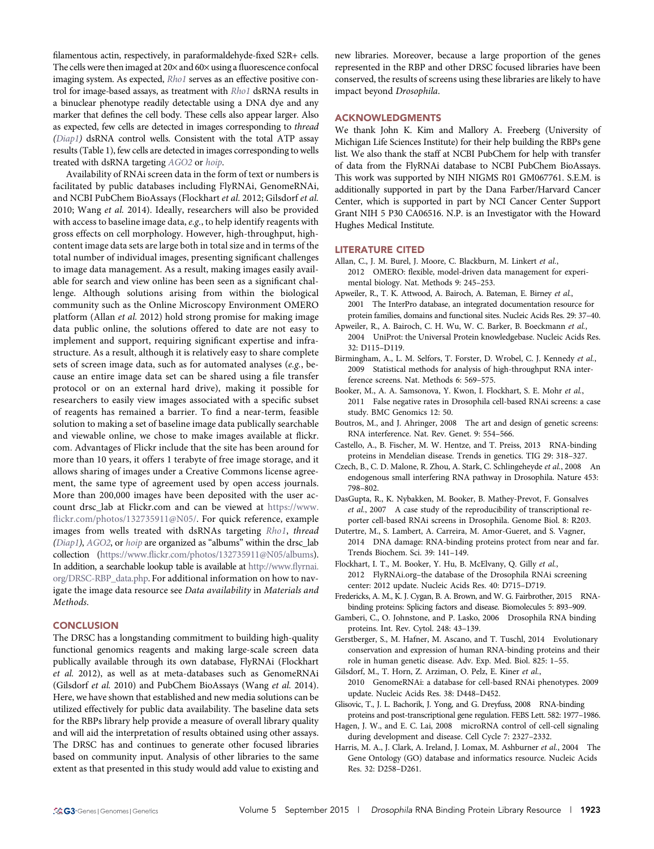filamentous actin, respectively, in paraformaldehyde-fixed S2R+ cells. The cells were then imaged at  $20\times$  and  $60\times$  using a fluorescence confocal imaging system. As expected, [Rho1](http://flybase.org/reports/FBgn0014020.html) serves as an effective positive con-trol for image-based assays, as treatment with [Rho1](http://flybase.org/reports/FBgn0014020.html) dsRNA results in a binuclear phenotype readily detectable using a DNA dye and any marker that defines the cell body. These cells also appear larger. Also as expected, few cells are detected in images corresponding to thread ([Diap1\)](http://flybase.org/reports/FBgn0260635.html) dsRNA control wells. Consistent with the total ATP assay results (Table 1), few cells are detected in images corresponding to wells treated with dsRNA targeting [AGO2](http://flybase.org/reports/FBgn0087035.html) or [hoip](http://flybase.org/reports/FBgn0015393.html).

Availability of RNAi screen data in the form of text or numbers is facilitated by public databases including FlyRNAi, GenomeRNAi, and NCBI PubChem BioAssays (Flockhart et al. 2012; Gilsdorf et al. 2010; Wang et al. 2014). Ideally, researchers will also be provided with access to baseline image data,  $e.g.,$  to help identify reagents with gross effects on cell morphology. However, high-throughput, highcontent image data sets are large both in total size and in terms of the total number of individual images, presenting significant challenges to image data management. As a result, making images easily available for search and view online has been seen as a significant challenge. Although solutions arising from within the biological community such as the Online Microscopy Environment OMERO platform (Allan et al. 2012) hold strong promise for making image data public online, the solutions offered to date are not easy to implement and support, requiring significant expertise and infrastructure. As a result, although it is relatively easy to share complete sets of screen image data, such as for automated analyses (e.g., because an entire image data set can be shared using a file transfer protocol or on an external hard drive), making it possible for researchers to easily view images associated with a specific subset of reagents has remained a barrier. To find a near-term, feasible solution to making a set of baseline image data publically searchable and viewable online, we chose to make images available at flickr. com. Advantages of Flickr include that the site has been around for more than 10 years, it offers 1 terabyte of free image storage, and it allows sharing of images under a Creative Commons license agreement, the same type of agreement used by open access journals. More than 200,000 images have been deposited with the user account drsc\_lab at Flickr.com and can be viewed at [https://www.](https://www.flickr.com/photos/132735911@N05/) fl[ickr.com/photos/132735911@N05/](https://www.flickr.com/photos/132735911@N05/). For quick reference, example images from wells treated with dsRNAs targeting [Rho1](http://flybase.org/reports/FBgn0014020.html), thread ([Diap1\)](http://flybase.org/reports/FBgn0260635.html), [AGO2](http://flybase.org/reports/FBgn0087035.html), or [hoip](http://flybase.org/reports/FBgn0015393.html) are organized as "albums" within the drsc\_lab collection (https://www.fl[ickr.com/photos/132735911@N05/albums](https://www.flickr.com/photos/132735911@N05/albums)). In addition, a searchable lookup table is available at [http://www.](http://www.flyrnai.org/DRSC-RBP_data.php)flyrnai. [org/DRSC-RBP\\_data.php.](http://www.flyrnai.org/DRSC-RBP_data.php) For additional information on how to navigate the image data resource see Data availability in Materials and Methods.

#### **CONCLUSION**

The DRSC has a longstanding commitment to building high-quality functional genomics reagents and making large-scale screen data publically available through its own database, FlyRNAi (Flockhart et al. 2012), as well as at meta-databases such as GenomeRNAi (Gilsdorf et al. 2010) and PubChem BioAssays (Wang et al. 2014). Here, we have shown that established and new media solutions can be utilized effectively for public data availability. The baseline data sets for the RBPs library help provide a measure of overall library quality and will aid the interpretation of results obtained using other assays. The DRSC has and continues to generate other focused libraries based on community input. Analysis of other libraries to the same extent as that presented in this study would add value to existing and

new libraries. Moreover, because a large proportion of the genes represented in the RBP and other DRSC focused libraries have been conserved, the results of screens using these libraries are likely to have impact beyond Drosophila.

#### ACKNOWLEDGMENTS

We thank John K. Kim and Mallory A. Freeberg (University of Michigan Life Sciences Institute) for their help building the RBPs gene list. We also thank the staff at NCBI PubChem for help with transfer of data from the FlyRNAi database to NCBI PubChem BioAssays. This work was supported by NIH NIGMS R01 GM067761. S.E.M. is additionally supported in part by the Dana Farber/Harvard Cancer Center, which is supported in part by NCI Cancer Center Support Grant NIH 5 P30 CA06516. N.P. is an Investigator with the Howard Hughes Medical Institute.

#### LITERATURE CITED

- Allan, C., J. M. Burel, J. Moore, C. Blackburn, M. Linkert et al., 2012 OMERO: flexible, model-driven data management for experimental biology. Nat. Methods 9: 245–253.
- Apweiler, R., T. K. Attwood, A. Bairoch, A. Bateman, E. Birney et al., 2001 The InterPro database, an integrated documentation resource for protein families, domains and functional sites. Nucleic Acids Res. 29: 37–40.
- Apweiler, R., A. Bairoch, C. H. Wu, W. C. Barker, B. Boeckmann et al., 2004 UniProt: the Universal Protein knowledgebase. Nucleic Acids Res. 32: D115–D119.
- Birmingham, A., L. M. Selfors, T. Forster, D. Wrobel, C. J. Kennedy et al., 2009 Statistical methods for analysis of high-throughput RNA interference screens. Nat. Methods 6: 569–575.
- Booker, M., A. A. Samsonova, Y. Kwon, I. Flockhart, S. E. Mohr et al., 2011 False negative rates in Drosophila cell-based RNAi screens: a case study. BMC Genomics 12: 50.
- Boutros, M., and J. Ahringer, 2008 The art and design of genetic screens: RNA interference. Nat. Rev. Genet. 9: 554–566.
- Castello, A., B. Fischer, M. W. Hentze, and T. Preiss, 2013 RNA-binding proteins in Mendelian disease. Trends in genetics. TIG 29: 318–327.
- Czech, B., C. D. Malone, R. Zhou, A. Stark, C. Schlingeheyde et al., 2008 An endogenous small interfering RNA pathway in Drosophila. Nature 453: 798–802.
- DasGupta, R., K. Nybakken, M. Booker, B. Mathey-Prevot, F. Gonsalves et al., 2007 A case study of the reproducibility of transcriptional reporter cell-based RNAi screens in Drosophila. Genome Biol. 8: R203.
- Dutertre, M., S. Lambert, A. Carreira, M. Amor-Gueret, and S. Vagner, 2014 DNA damage: RNA-binding proteins protect from near and far. Trends Biochem. Sci. 39: 141–149.
- Flockhart, I. T., M. Booker, Y. Hu, B. McElvany, Q. Gilly et al., 2012 FlyRNAi.org–the database of the Drosophila RNAi screening center: 2012 update. Nucleic Acids Res. 40: D715–D719.
- Fredericks, A. M., K. J. Cygan, B. A. Brown, and W. G. Fairbrother, 2015 RNAbinding proteins: Splicing factors and disease. Biomolecules 5: 893–909.
- Gamberi, C., O. Johnstone, and P. Lasko, 2006 Drosophila RNA binding proteins. Int. Rev. Cytol. 248: 43–139.
- Gerstberger, S., M. Hafner, M. Ascano, and T. Tuschl, 2014 Evolutionary conservation and expression of human RNA-binding proteins and their role in human genetic disease. Adv. Exp. Med. Biol. 825: 1–55.
- Gilsdorf, M., T. Horn, Z. Arziman, O. Pelz, E. Kiner et al., 2010 GenomeRNAi: a database for cell-based RNAi phenotypes. 2009 update. Nucleic Acids Res. 38: D448–D452.
- Glisovic, T., J. L. Bachorik, J. Yong, and G. Dreyfuss, 2008 RNA-binding proteins and post-transcriptional gene regulation. FEBS Lett. 582: 1977–1986.
- Hagen, J. W., and E. C. Lai, 2008 microRNA control of cell-cell signaling during development and disease. Cell Cycle 7: 2327–2332.
- Harris, M. A., J. Clark, A. Ireland, J. Lomax, M. Ashburner et al., 2004 The Gene Ontology (GO) database and informatics resource. Nucleic Acids Res. 32: D258–D261.